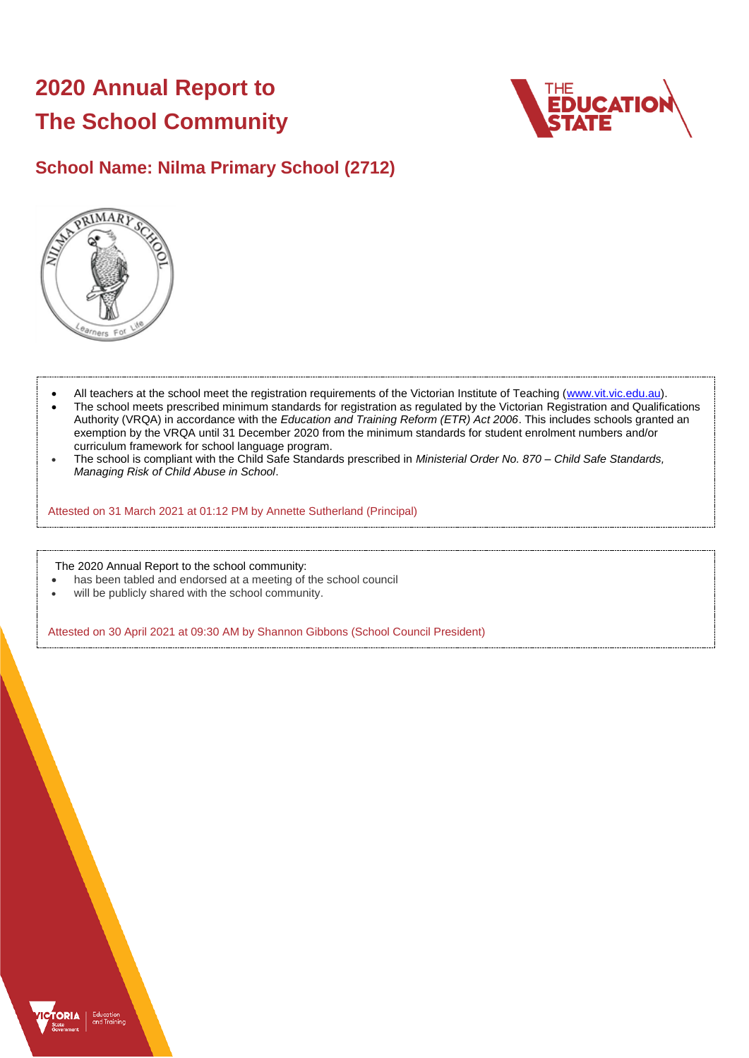# **2020 Annual Report to The School Community**



# **School Name: Nilma Primary School (2712)**



- All teachers at the school meet the registration requirements of the Victorian Institute of Teaching [\(www.vit.vic.edu.au\)](https://www.vit.vic.edu.au/).
- The school meets prescribed minimum standards for registration as regulated by the Victorian Registration and Qualifications Authority (VRQA) in accordance with the *Education and Training Reform (ETR) Act 2006*. This includes schools granted an exemption by the VRQA until 31 December 2020 from the minimum standards for student enrolment numbers and/or curriculum framework for school language program.
- The school is compliant with the Child Safe Standards prescribed in *Ministerial Order No. 870 – Child Safe Standards, Managing Risk of Child Abuse in School*.

Attested on 31 March 2021 at 01:12 PM by Annette Sutherland (Principal)

The 2020 Annual Report to the school community:

- has been tabled and endorsed at a meeting of the school council
- will be publicly shared with the school community.

Attested on 30 April 2021 at 09:30 AM by Shannon Gibbons (School Council President)

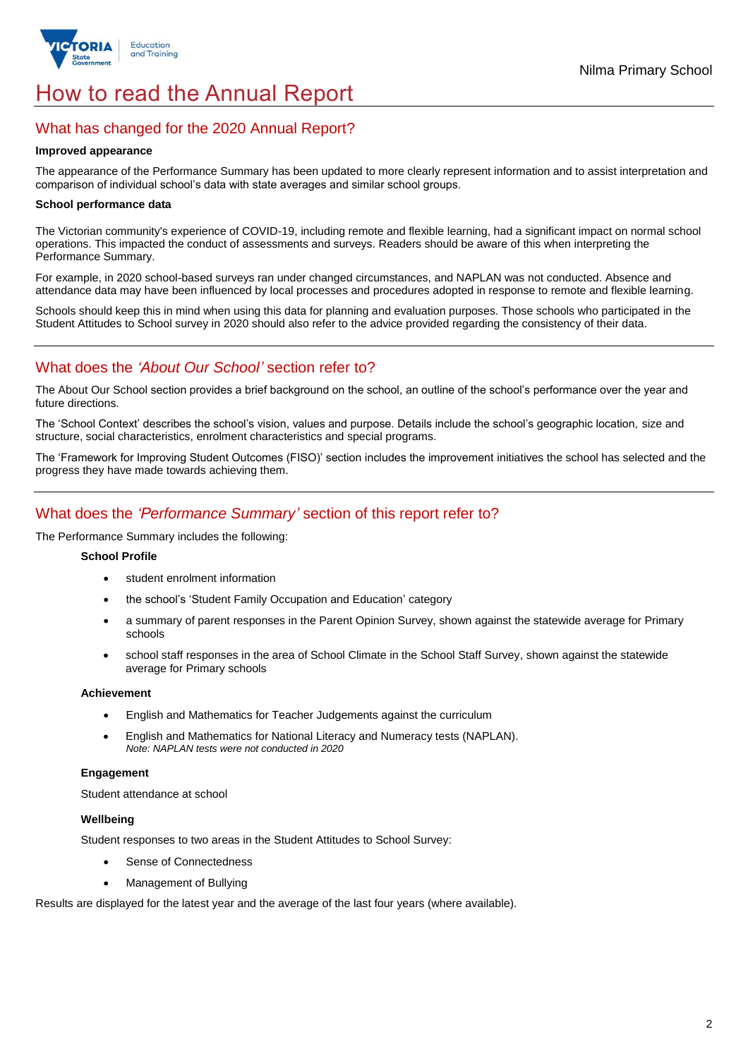

# How to read the Annual Report

# What has changed for the 2020 Annual Report?

#### **Improved appearance**

The appearance of the Performance Summary has been updated to more clearly represent information and to assist interpretation and comparison of individual school's data with state averages and similar school groups.

#### **School performance data**

The Victorian community's experience of COVID-19, including remote and flexible learning, had a significant impact on normal school operations. This impacted the conduct of assessments and surveys. Readers should be aware of this when interpreting the Performance Summary.

For example, in 2020 school-based surveys ran under changed circumstances, and NAPLAN was not conducted. Absence and attendance data may have been influenced by local processes and procedures adopted in response to remote and flexible learning.

Schools should keep this in mind when using this data for planning and evaluation purposes. Those schools who participated in the Student Attitudes to School survey in 2020 should also refer to the advice provided regarding the consistency of their data.

# What does the *'About Our School'* section refer to?

The About Our School section provides a brief background on the school, an outline of the school's performance over the year and future directions.

The 'School Context' describes the school's vision, values and purpose. Details include the school's geographic location, size and structure, social characteristics, enrolment characteristics and special programs.

The 'Framework for Improving Student Outcomes (FISO)' section includes the improvement initiatives the school has selected and the progress they have made towards achieving them.

# What does the *'Performance Summary'* section of this report refer to?

The Performance Summary includes the following:

#### **School Profile**

- student enrolment information
- the school's 'Student Family Occupation and Education' category
- a summary of parent responses in the Parent Opinion Survey, shown against the statewide average for Primary schools
- school staff responses in the area of School Climate in the School Staff Survey, shown against the statewide average for Primary schools

#### **Achievement**

- English and Mathematics for Teacher Judgements against the curriculum
- English and Mathematics for National Literacy and Numeracy tests (NAPLAN). *Note: NAPLAN tests were not conducted in 2020*

### **Engagement**

Student attendance at school

### **Wellbeing**

Student responses to two areas in the Student Attitudes to School Survey:

- Sense of Connectedness
- Management of Bullying

Results are displayed for the latest year and the average of the last four years (where available).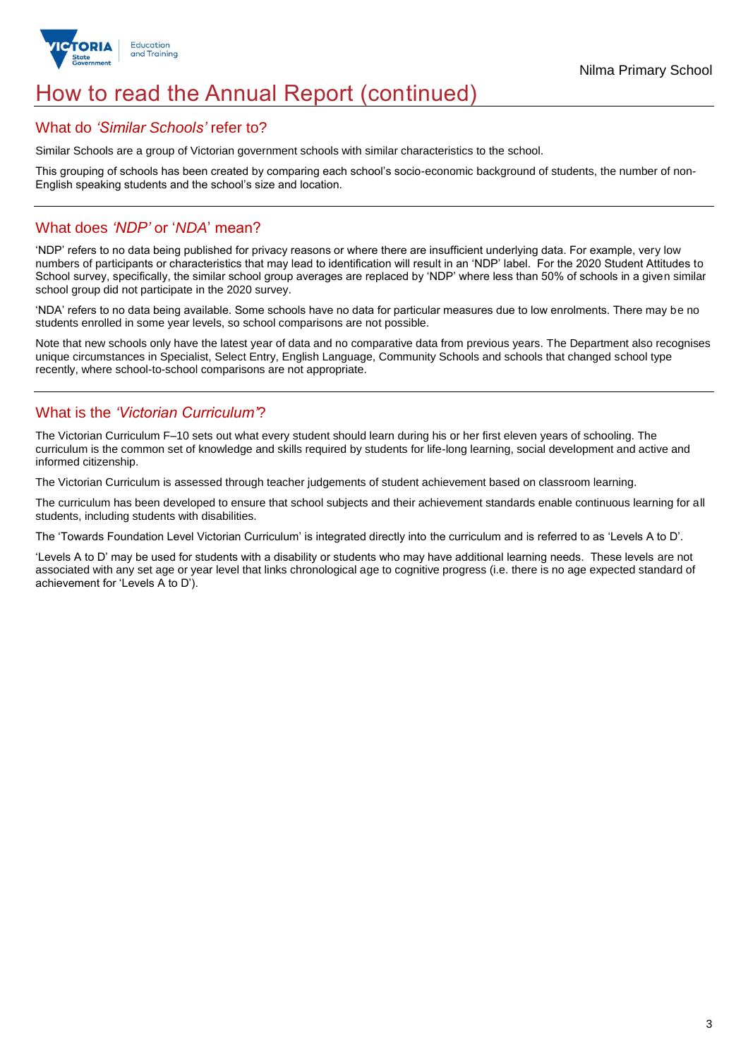

# How to read the Annual Report (continued)

## What do *'Similar Schools'* refer to?

Similar Schools are a group of Victorian government schools with similar characteristics to the school.

This grouping of schools has been created by comparing each school's socio-economic background of students, the number of non-English speaking students and the school's size and location.

# What does *'NDP'* or '*NDA*' mean?

'NDP' refers to no data being published for privacy reasons or where there are insufficient underlying data. For example, very low numbers of participants or characteristics that may lead to identification will result in an 'NDP' label. For the 2020 Student Attitudes to School survey, specifically, the similar school group averages are replaced by 'NDP' where less than 50% of schools in a given similar school group did not participate in the 2020 survey.

'NDA' refers to no data being available. Some schools have no data for particular measures due to low enrolments. There may be no students enrolled in some year levels, so school comparisons are not possible.

Note that new schools only have the latest year of data and no comparative data from previous years. The Department also recognises unique circumstances in Specialist, Select Entry, English Language, Community Schools and schools that changed school type recently, where school-to-school comparisons are not appropriate.

# What is the *'Victorian Curriculum'*?

The Victorian Curriculum F–10 sets out what every student should learn during his or her first eleven years of schooling. The curriculum is the common set of knowledge and skills required by students for life-long learning, social development and active and informed citizenship.

The Victorian Curriculum is assessed through teacher judgements of student achievement based on classroom learning.

The curriculum has been developed to ensure that school subjects and their achievement standards enable continuous learning for all students, including students with disabilities.

The 'Towards Foundation Level Victorian Curriculum' is integrated directly into the curriculum and is referred to as 'Levels A to D'.

'Levels A to D' may be used for students with a disability or students who may have additional learning needs. These levels are not associated with any set age or year level that links chronological age to cognitive progress (i.e. there is no age expected standard of achievement for 'Levels A to D').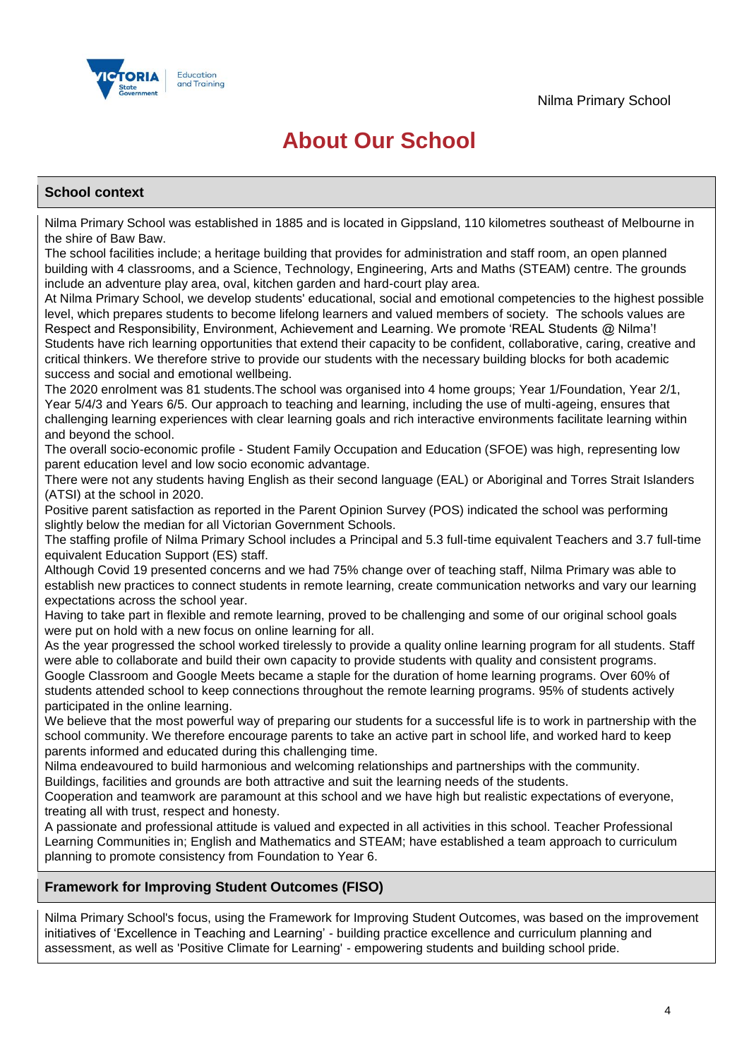

# **About Our School**

## **School context**

Nilma Primary School was established in 1885 and is located in Gippsland, 110 kilometres southeast of Melbourne in the shire of Baw Baw.

The school facilities include; a heritage building that provides for administration and staff room, an open planned building with 4 classrooms, and a Science, Technology, Engineering, Arts and Maths (STEAM) centre. The grounds include an adventure play area, oval, kitchen garden and hard-court play area.

At Nilma Primary School, we develop students' educational, social and emotional competencies to the highest possible level, which prepares students to become lifelong learners and valued members of society. The schools values are Respect and Responsibility, Environment, Achievement and Learning. We promote 'REAL Students @ Nilma'! Students have rich learning opportunities that extend their capacity to be confident, collaborative, caring, creative and critical thinkers. We therefore strive to provide our students with the necessary building blocks for both academic success and social and emotional wellbeing.

The 2020 enrolment was 81 students.The school was organised into 4 home groups; Year 1/Foundation, Year 2/1, Year 5/4/3 and Years 6/5. Our approach to teaching and learning, including the use of multi-ageing, ensures that challenging learning experiences with clear learning goals and rich interactive environments facilitate learning within and beyond the school.

The overall socio-economic profile - Student Family Occupation and Education (SFOE) was high, representing low parent education level and low socio economic advantage.

There were not any students having English as their second language (EAL) or Aboriginal and Torres Strait Islanders (ATSI) at the school in 2020.

Positive parent satisfaction as reported in the Parent Opinion Survey (POS) indicated the school was performing slightly below the median for all Victorian Government Schools.

The staffing profile of Nilma Primary School includes a Principal and 5.3 full-time equivalent Teachers and 3.7 full-time equivalent Education Support (ES) staff.

Although Covid 19 presented concerns and we had 75% change over of teaching staff, Nilma Primary was able to establish new practices to connect students in remote learning, create communication networks and vary our learning expectations across the school year.

Having to take part in flexible and remote learning, proved to be challenging and some of our original school goals were put on hold with a new focus on online learning for all.

As the year progressed the school worked tirelessly to provide a quality online learning program for all students. Staff were able to collaborate and build their own capacity to provide students with quality and consistent programs. Google Classroom and Google Meets became a staple for the duration of home learning programs. Over 60% of students attended school to keep connections throughout the remote learning programs. 95% of students actively participated in the online learning.

We believe that the most powerful way of preparing our students for a successful life is to work in partnership with the school community. We therefore encourage parents to take an active part in school life, and worked hard to keep parents informed and educated during this challenging time.

Nilma endeavoured to build harmonious and welcoming relationships and partnerships with the community.

Buildings, facilities and grounds are both attractive and suit the learning needs of the students.

Cooperation and teamwork are paramount at this school and we have high but realistic expectations of everyone, treating all with trust, respect and honesty.

A passionate and professional attitude is valued and expected in all activities in this school. Teacher Professional Learning Communities in; English and Mathematics and STEAM; have established a team approach to curriculum planning to promote consistency from Foundation to Year 6.

## **Framework for Improving Student Outcomes (FISO)**

Nilma Primary School's focus, using the Framework for Improving Student Outcomes, was based on the improvement initiatives of 'Excellence in Teaching and Learning' - building practice excellence and curriculum planning and assessment, as well as 'Positive Climate for Learning' - empowering students and building school pride.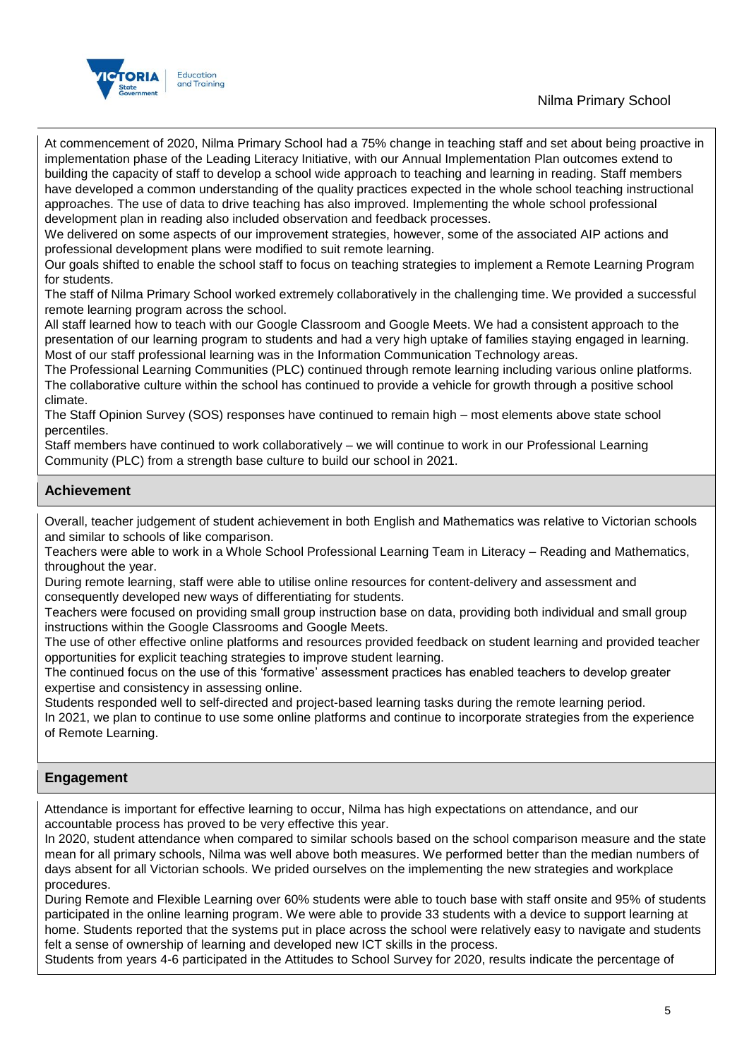# Nilma Primary School



At commencement of 2020, Nilma Primary School had a 75% change in teaching staff and set about being proactive in implementation phase of the Leading Literacy Initiative, with our Annual Implementation Plan outcomes extend to building the capacity of staff to develop a school wide approach to teaching and learning in reading. Staff members have developed a common understanding of the quality practices expected in the whole school teaching instructional approaches. The use of data to drive teaching has also improved. Implementing the whole school professional development plan in reading also included observation and feedback processes.

We delivered on some aspects of our improvement strategies, however, some of the associated AIP actions and professional development plans were modified to suit remote learning.

Our goals shifted to enable the school staff to focus on teaching strategies to implement a Remote Learning Program for students.

The staff of Nilma Primary School worked extremely collaboratively in the challenging time. We provided a successful remote learning program across the school.

All staff learned how to teach with our Google Classroom and Google Meets. We had a consistent approach to the presentation of our learning program to students and had a very high uptake of families staying engaged in learning. Most of our staff professional learning was in the Information Communication Technology areas.

The Professional Learning Communities (PLC) continued through remote learning including various online platforms. The collaborative culture within the school has continued to provide a vehicle for growth through a positive school climate.

The Staff Opinion Survey (SOS) responses have continued to remain high – most elements above state school percentiles.

Staff members have continued to work collaboratively – we will continue to work in our Professional Learning Community (PLC) from a strength base culture to build our school in 2021.

## **Achievement**

Overall, teacher judgement of student achievement in both English and Mathematics was relative to Victorian schools and similar to schools of like comparison.

Teachers were able to work in a Whole School Professional Learning Team in Literacy – Reading and Mathematics, throughout the year.

During remote learning, staff were able to utilise online resources for content-delivery and assessment and consequently developed new ways of differentiating for students.

Teachers were focused on providing small group instruction base on data, providing both individual and small group instructions within the Google Classrooms and Google Meets.

The use of other effective online platforms and resources provided feedback on student learning and provided teacher opportunities for explicit teaching strategies to improve student learning.

The continued focus on the use of this 'formative' assessment practices has enabled teachers to develop greater expertise and consistency in assessing online.

Students responded well to self-directed and project-based learning tasks during the remote learning period. In 2021, we plan to continue to use some online platforms and continue to incorporate strategies from the experience of Remote Learning.

## **Engagement**

Attendance is important for effective learning to occur, Nilma has high expectations on attendance, and our accountable process has proved to be very effective this year.

In 2020, student attendance when compared to similar schools based on the school comparison measure and the state mean for all primary schools, Nilma was well above both measures. We performed better than the median numbers of days absent for all Victorian schools. We prided ourselves on the implementing the new strategies and workplace procedures.

During Remote and Flexible Learning over 60% students were able to touch base with staff onsite and 95% of students participated in the online learning program. We were able to provide 33 students with a device to support learning at home. Students reported that the systems put in place across the school were relatively easy to navigate and students felt a sense of ownership of learning and developed new ICT skills in the process.

Students from years 4-6 participated in the Attitudes to School Survey for 2020, results indicate the percentage of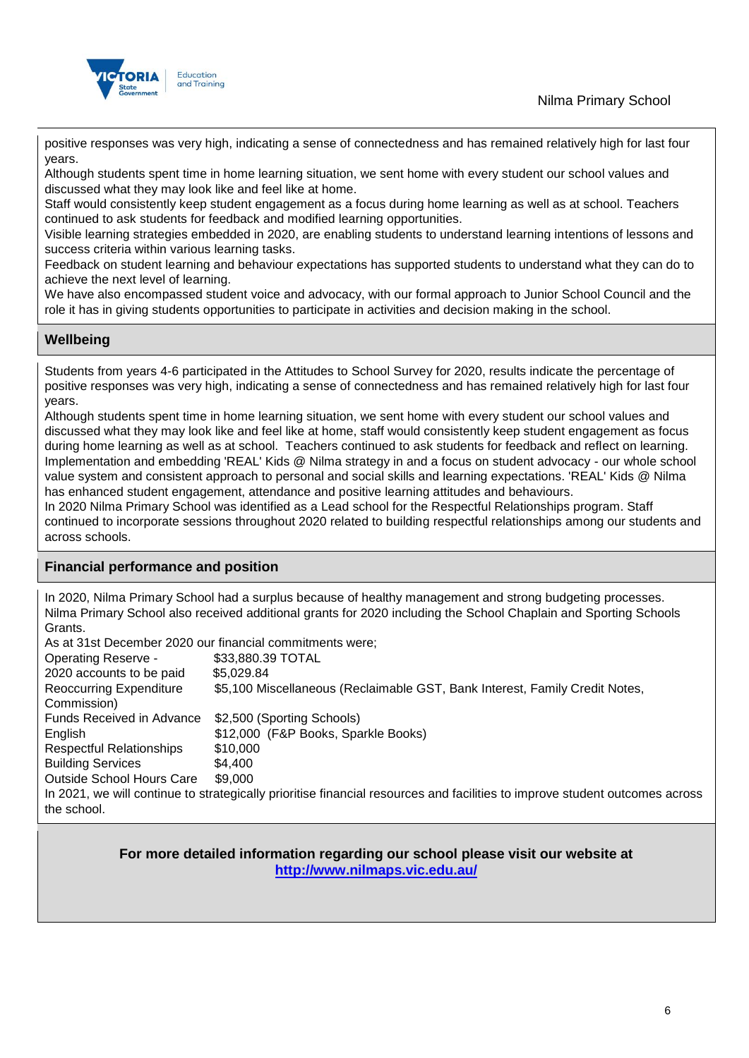



positive responses was very high, indicating a sense of connectedness and has remained relatively high for last four years.

Although students spent time in home learning situation, we sent home with every student our school values and discussed what they may look like and feel like at home.

Staff would consistently keep student engagement as a focus during home learning as well as at school. Teachers continued to ask students for feedback and modified learning opportunities.

Visible learning strategies embedded in 2020, are enabling students to understand learning intentions of lessons and success criteria within various learning tasks.

Feedback on student learning and behaviour expectations has supported students to understand what they can do to achieve the next level of learning.

We have also encompassed student voice and advocacy, with our formal approach to Junior School Council and the role it has in giving students opportunities to participate in activities and decision making in the school.

## **Wellbeing**

Students from years 4-6 participated in the Attitudes to School Survey for 2020, results indicate the percentage of positive responses was very high, indicating a sense of connectedness and has remained relatively high for last four years.

Although students spent time in home learning situation, we sent home with every student our school values and discussed what they may look like and feel like at home, staff would consistently keep student engagement as focus during home learning as well as at school. Teachers continued to ask students for feedback and reflect on learning. Implementation and embedding 'REAL' Kids @ Nilma strategy in and a focus on student advocacy - our whole school value system and consistent approach to personal and social skills and learning expectations. 'REAL' Kids @ Nilma has enhanced student engagement, attendance and positive learning attitudes and behaviours.

In 2020 Nilma Primary School was identified as a Lead school for the Respectful Relationships program. Staff continued to incorporate sessions throughout 2020 related to building respectful relationships among our students and across schools.

## **Financial performance and position**

In 2020, Nilma Primary School had a surplus because of healthy management and strong budgeting processes. Nilma Primary School also received additional grants for 2020 including the School Chaplain and Sporting Schools Grants.

As at 31st December 2020 our financial commitments were;

| <b>Operating Reserve -</b>                    | \$33,880.39 TOTAL                                                                                                           |
|-----------------------------------------------|-----------------------------------------------------------------------------------------------------------------------------|
| 2020 accounts to be paid                      | \$5,029.84                                                                                                                  |
| <b>Reoccurring Expenditure</b><br>Commission) | \$5,100 Miscellaneous (Reclaimable GST, Bank Interest, Family Credit Notes,                                                 |
| <b>Funds Received in Advance</b>              | \$2,500 (Sporting Schools)                                                                                                  |
| English                                       | \$12,000 (F&P Books, Sparkle Books)                                                                                         |
| <b>Respectful Relationships</b>               | \$10,000                                                                                                                    |
| <b>Building Services</b>                      | \$4.400                                                                                                                     |
| <b>Outside School Hours Care</b>              | \$9,000                                                                                                                     |
| the school.                                   | In 2021, we will continue to strategically prioritise financial resources and facilities to improve student outcomes across |

## **For more detailed information regarding our school please visit our website at <http://www.nilmaps.vic.edu.au/>**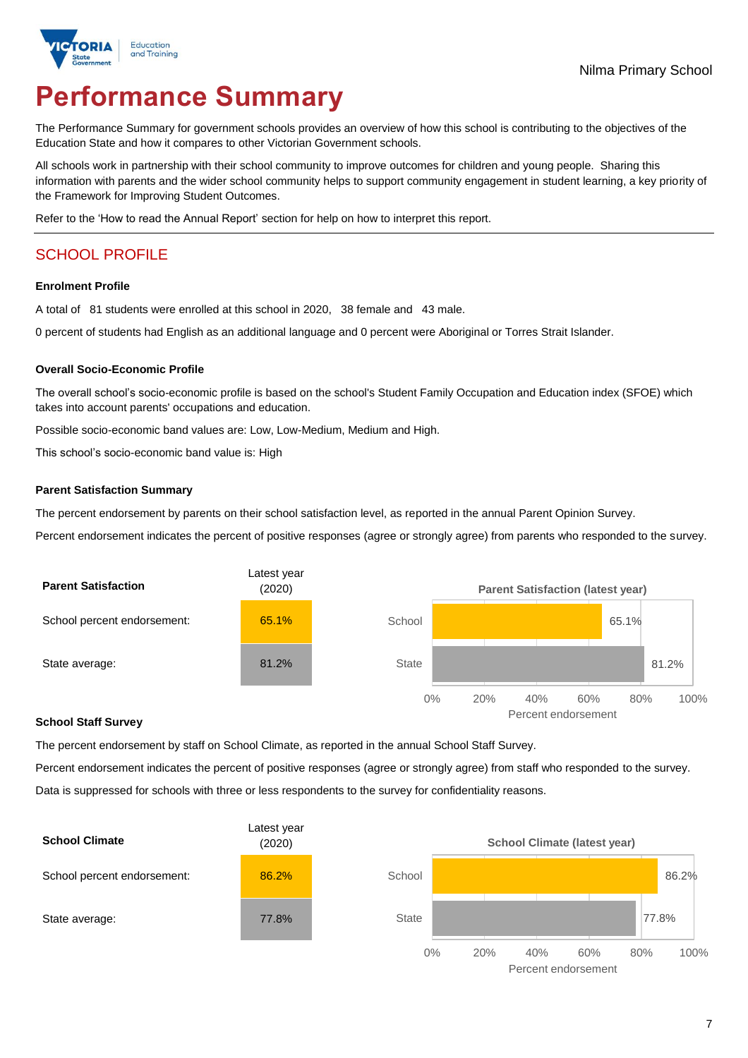

# **Performance Summary**

The Performance Summary for government schools provides an overview of how this school is contributing to the objectives of the Education State and how it compares to other Victorian Government schools.

All schools work in partnership with their school community to improve outcomes for children and young people. Sharing this information with parents and the wider school community helps to support community engagement in student learning, a key priority of the Framework for Improving Student Outcomes.

Refer to the 'How to read the Annual Report' section for help on how to interpret this report.

# SCHOOL PROFILE

#### **Enrolment Profile**

A total of 81 students were enrolled at this school in 2020, 38 female and 43 male.

0 percent of students had English as an additional language and 0 percent were Aboriginal or Torres Strait Islander.

#### **Overall Socio-Economic Profile**

The overall school's socio-economic profile is based on the school's Student Family Occupation and Education index (SFOE) which takes into account parents' occupations and education.

Possible socio-economic band values are: Low, Low-Medium, Medium and High.

This school's socio-economic band value is: High

#### **Parent Satisfaction Summary**

The percent endorsement by parents on their school satisfaction level, as reported in the annual Parent Opinion Survey.

Percent endorsement indicates the percent of positive responses (agree or strongly agree) from parents who responded to the survey.



#### **School Staff Survey**

The percent endorsement by staff on School Climate, as reported in the annual School Staff Survey.

Percent endorsement indicates the percent of positive responses (agree or strongly agree) from staff who responded to the survey. Data is suppressed for schools with three or less respondents to the survey for confidentiality reasons.



Percent endorsement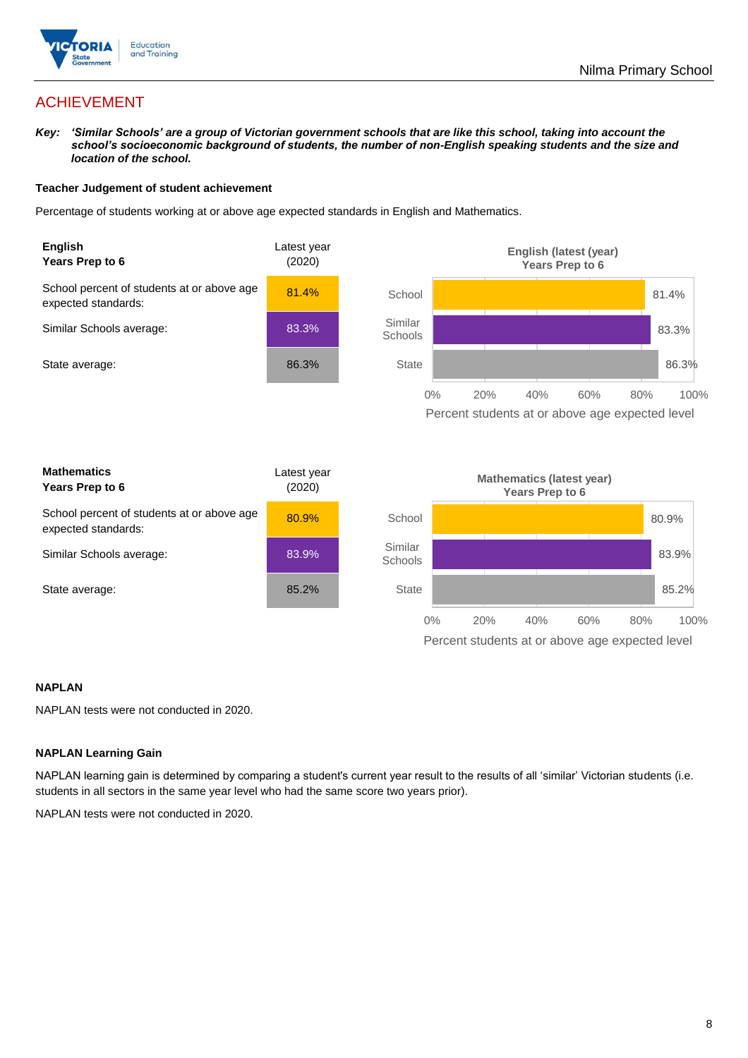

# ACHIEVEMENT

*Key: 'Similar Schools' are a group of Victorian government schools that are like this school, taking into account the school's socioeconomic background of students, the number of non-English speaking students and the size and location of the school.*

#### **Teacher Judgement of student achievement**

Percentage of students working at or above age expected standards in English and Mathematics.



### **NAPLAN**

NAPLAN tests were not conducted in 2020.

### **NAPLAN Learning Gain**

NAPLAN learning gain is determined by comparing a student's current year result to the results of all 'similar' Victorian students (i.e. students in all sectors in the same year level who had the same score two years prior).

NAPLAN tests were not conducted in 2020.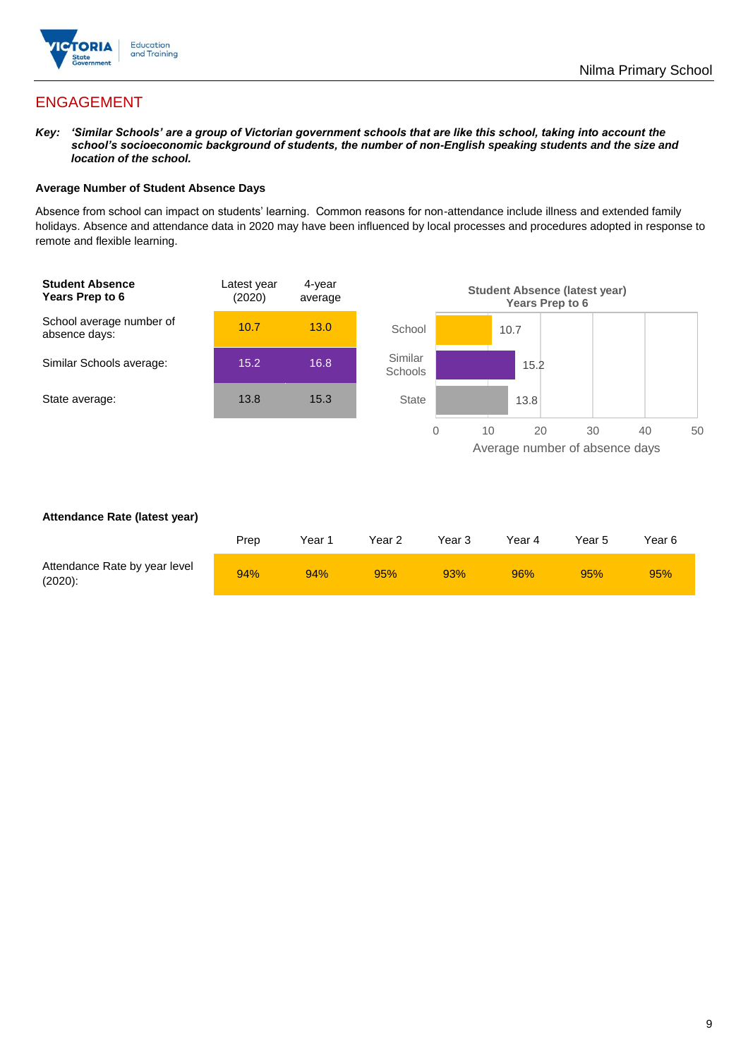

# ENGAGEMENT

*Key: 'Similar Schools' are a group of Victorian government schools that are like this school, taking into account the school's socioeconomic background of students, the number of non-English speaking students and the size and location of the school.*

### **Average Number of Student Absence Days**

Absence from school can impact on students' learning. Common reasons for non-attendance include illness and extended family holidays. Absence and attendance data in 2020 may have been influenced by local processes and procedures adopted in response to remote and flexible learning.



#### **Attendance Rate (latest year)**

|                                             | Prep | Year∸ | Year 2 | Year 3 | Year 4 | Year 5 | Year 6 |
|---------------------------------------------|------|-------|--------|--------|--------|--------|--------|
| Attendance Rate by year level<br>$(2020)$ : | 94%  | 94%   | 95%    | 93%    | 96%    | 95%    | 95%    |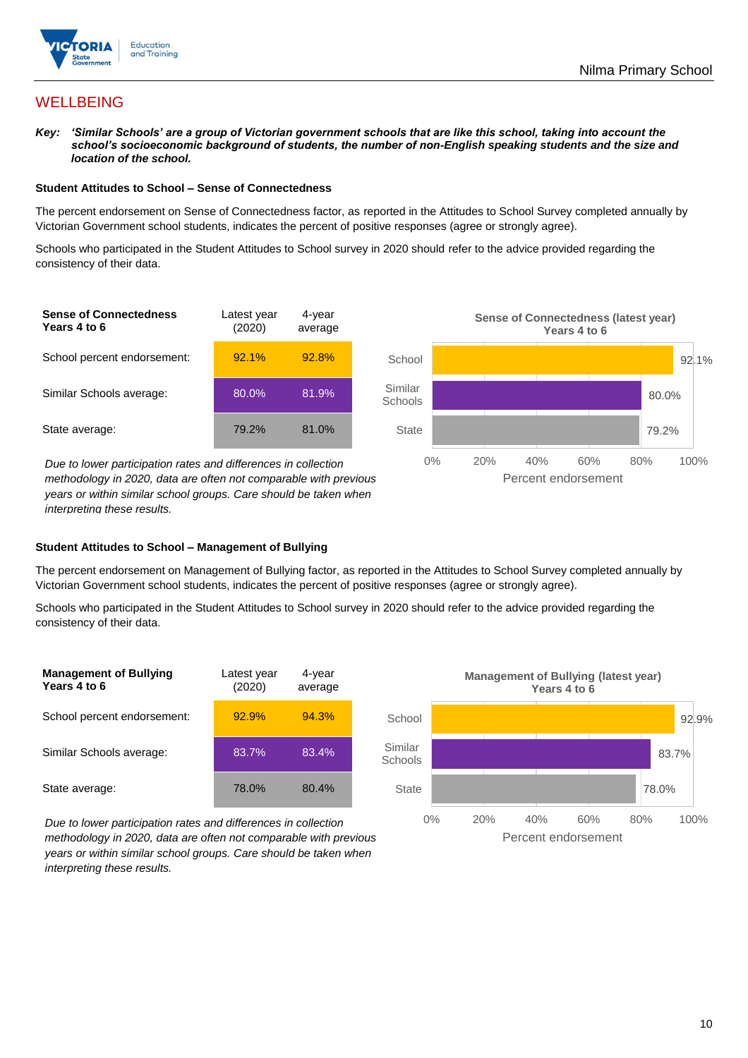

# **WELLBEING**

*Key: 'Similar Schools' are a group of Victorian government schools that are like this school, taking into account the school's socioeconomic background of students, the number of non-English speaking students and the size and location of the school.*

#### **Student Attitudes to School – Sense of Connectedness**

The percent endorsement on Sense of Connectedness factor, as reported in the Attitudes to School Survey completed annually by Victorian Government school students, indicates the percent of positive responses (agree or strongly agree).

Schools who participated in the Student Attitudes to School survey in 2020 should refer to the advice provided regarding the consistency of their data.



*methodology in 2020, data are often not comparable with previous years or within similar school groups. Care should be taken when interpreting these results.*

### **Student Attitudes to School – Management of Bullying**

The percent endorsement on Management of Bullying factor, as reported in the Attitudes to School Survey completed annually by Victorian Government school students, indicates the percent of positive responses (agree or strongly agree).

Schools who participated in the Student Attitudes to School survey in 2020 should refer to the advice provided regarding the consistency of their data.





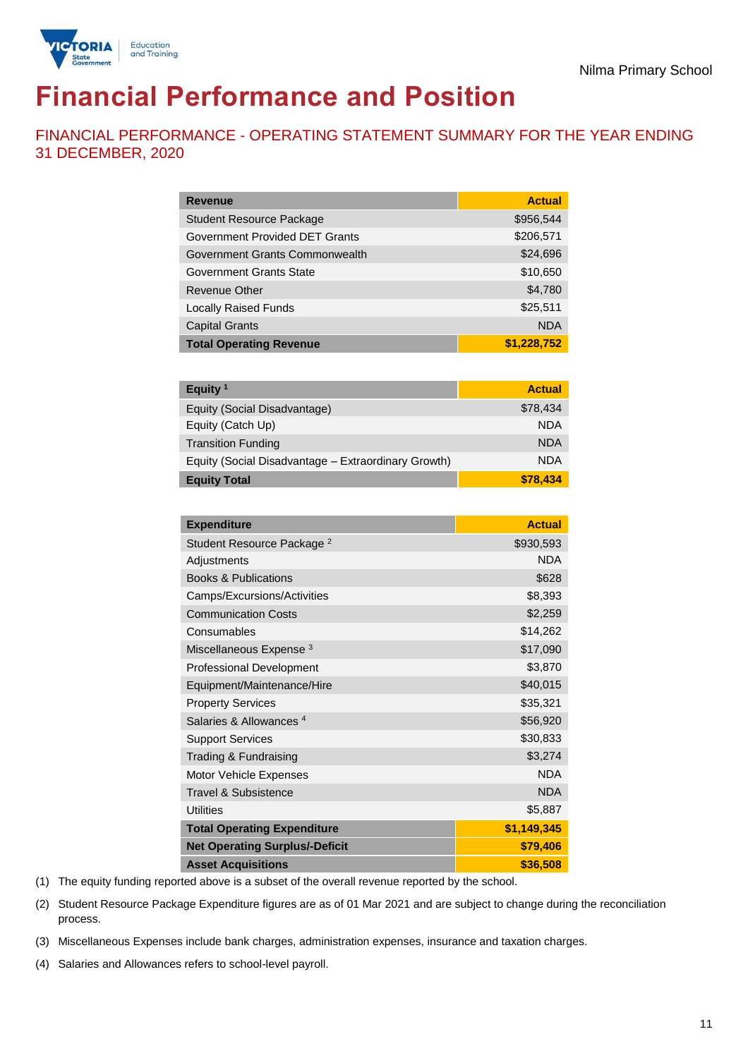



# **Financial Performance and Position**

FINANCIAL PERFORMANCE - OPERATING STATEMENT SUMMARY FOR THE YEAR ENDING 31 DECEMBER, 2020

| <b>Revenue</b>                  | <b>Actual</b> |
|---------------------------------|---------------|
| <b>Student Resource Package</b> | \$956,544     |
| Government Provided DET Grants  | \$206,571     |
| Government Grants Commonwealth  | \$24,696      |
| Government Grants State         | \$10,650      |
| Revenue Other                   | \$4,780       |
| <b>Locally Raised Funds</b>     | \$25,511      |
| <b>Capital Grants</b>           | <b>NDA</b>    |
| <b>Total Operating Revenue</b>  | \$1,228,752   |

| Equity <sup>1</sup>                                 | <b>Actual</b> |
|-----------------------------------------------------|---------------|
| Equity (Social Disadvantage)                        | \$78,434      |
| Equity (Catch Up)                                   | <b>NDA</b>    |
| <b>Transition Funding</b>                           | <b>NDA</b>    |
| Equity (Social Disadvantage - Extraordinary Growth) | <b>NDA</b>    |
| <b>Equity Total</b>                                 | \$78,434      |

| <b>Expenditure</b>                    | <b>Actual</b> |
|---------------------------------------|---------------|
| Student Resource Package <sup>2</sup> | \$930,593     |
| Adjustments                           | <b>NDA</b>    |
| <b>Books &amp; Publications</b>       | \$628         |
| Camps/Excursions/Activities           | \$8,393       |
| <b>Communication Costs</b>            | \$2,259       |
| Consumables                           | \$14,262      |
| Miscellaneous Expense <sup>3</sup>    | \$17,090      |
| <b>Professional Development</b>       | \$3,870       |
| Equipment/Maintenance/Hire            | \$40,015      |
| <b>Property Services</b>              | \$35,321      |
| Salaries & Allowances <sup>4</sup>    | \$56,920      |
| <b>Support Services</b>               | \$30,833      |
| Trading & Fundraising                 | \$3,274       |
| Motor Vehicle Expenses                | <b>NDA</b>    |
| Travel & Subsistence                  | <b>NDA</b>    |
| <b>Utilities</b>                      | \$5,887       |
| <b>Total Operating Expenditure</b>    | \$1,149,345   |
| <b>Net Operating Surplus/-Deficit</b> | \$79,406      |
| <b>Asset Acquisitions</b>             | \$36,508      |

(1) The equity funding reported above is a subset of the overall revenue reported by the school.

(2) Student Resource Package Expenditure figures are as of 01 Mar 2021 and are subject to change during the reconciliation process.

(3) Miscellaneous Expenses include bank charges, administration expenses, insurance and taxation charges.

(4) Salaries and Allowances refers to school-level payroll.